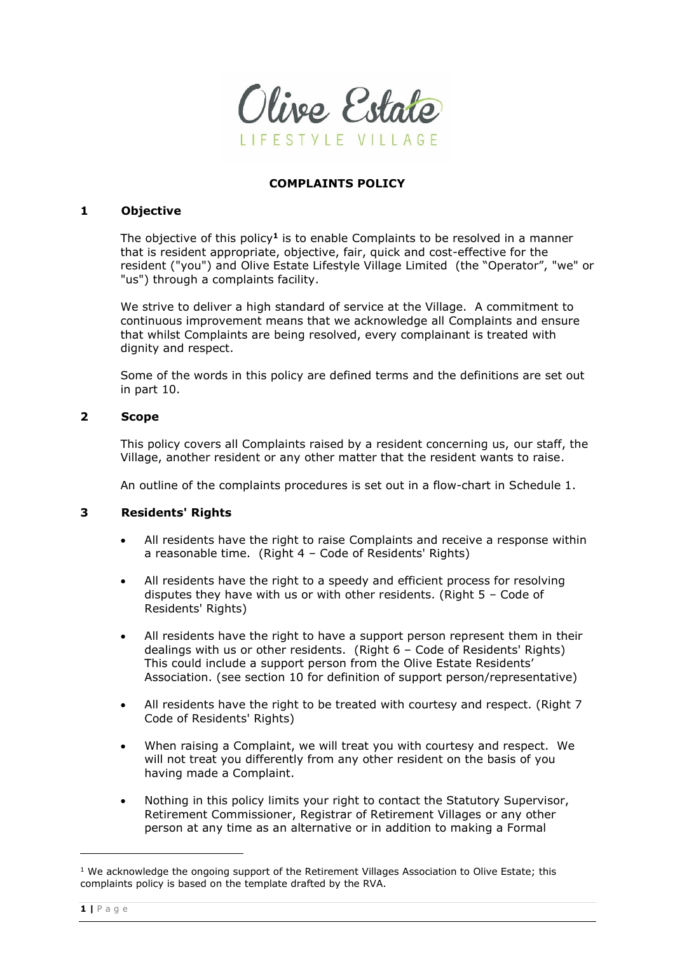

#### **COMPLAINTS POLICY**

#### **1 Objective**

The objective of this policy**<sup>1</sup>** is to enable Complaints to be resolved in a manner that is resident appropriate, objective, fair, quick and cost-effective for the resident ("you") and Olive Estate Lifestyle Village Limited (the "Operator", "we" or "us") through a complaints facility.

We strive to deliver a high standard of service at the Village. A commitment to continuous improvement means that we acknowledge all Complaints and ensure that whilst Complaints are being resolved, every complainant is treated with dignity and respect.

Some of the words in this policy are defined terms and the definitions are set out in part 10.

#### **2 Scope**

This policy covers all Complaints raised by a resident concerning us, our staff, the Village, another resident or any other matter that the resident wants to raise.

An outline of the complaints procedures is set out in a flow-chart in Schedule 1.

### **3 Residents' Rights**

- All residents have the right to raise Complaints and receive a response within a reasonable time. (Right 4 – Code of Residents' Rights)
- All residents have the right to a speedy and efficient process for resolving disputes they have with us or with other residents. (Right 5 – Code of Residents' Rights)
- All residents have the right to have a support person represent them in their dealings with us or other residents. (Right 6 – Code of Residents' Rights) This could include a support person from the Olive Estate Residents' Association. (see section 10 for definition of support person/representative)
- All residents have the right to be treated with courtesy and respect. (Right 7 Code of Residents' Rights)
- When raising a Complaint, we will treat you with courtesy and respect. We will not treat you differently from any other resident on the basis of you having made a Complaint.
- Nothing in this policy limits your right to contact the Statutory Supervisor, Retirement Commissioner, Registrar of Retirement Villages or any other person at any time as an alternative or in addition to making a Formal

 $1$  We acknowledge the ongoing support of the Retirement Villages Association to Olive Estate; this complaints policy is based on the template drafted by the RVA.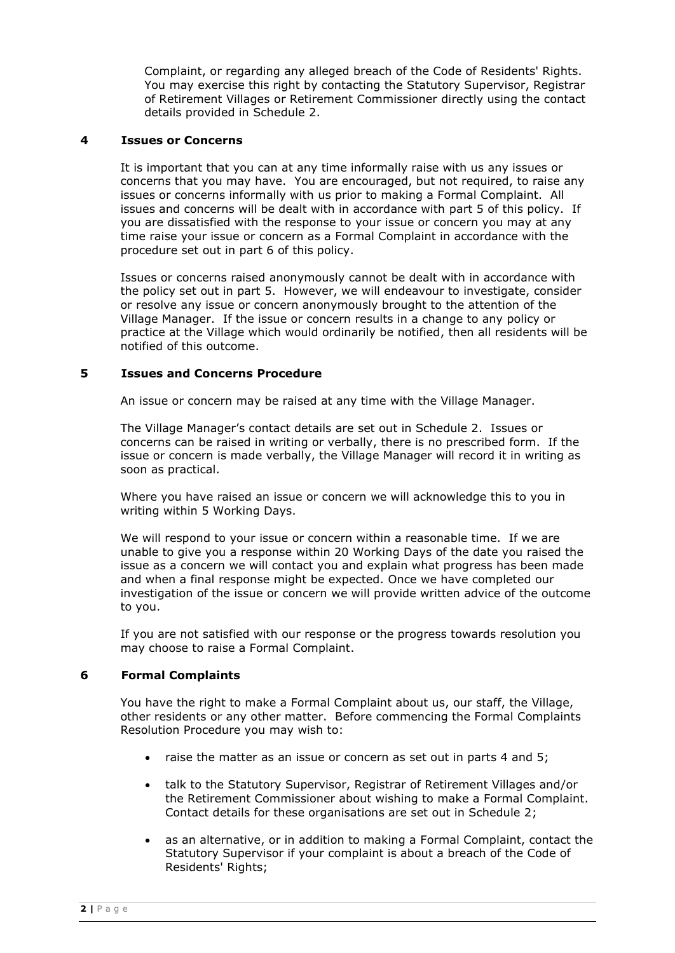Complaint, or regarding any alleged breach of the Code of Residents' Rights. You may exercise this right by contacting the Statutory Supervisor, Registrar of Retirement Villages or Retirement Commissioner directly using the contact details provided in Schedule 2.

### **4 Issues or Concerns**

It is important that you can at any time informally raise with us any issues or concerns that you may have. You are encouraged, but not required, to raise any issues or concerns informally with us prior to making a Formal Complaint. All issues and concerns will be dealt with in accordance with part 5 of this policy. If you are dissatisfied with the response to your issue or concern you may at any time raise your issue or concern as a Formal Complaint in accordance with the procedure set out in part 6 of this policy.

Issues or concerns raised anonymously cannot be dealt with in accordance with the policy set out in part 5. However, we will endeavour to investigate, consider or resolve any issue or concern anonymously brought to the attention of the Village Manager. If the issue or concern results in a change to any policy or practice at the Village which would ordinarily be notified, then all residents will be notified of this outcome.

### **5 Issues and Concerns Procedure**

An issue or concern may be raised at any time with the Village Manager.

The Village Manager's contact details are set out in Schedule 2. Issues or concerns can be raised in writing or verbally, there is no prescribed form. If the issue or concern is made verbally, the Village Manager will record it in writing as soon as practical.

Where you have raised an issue or concern we will acknowledge this to you in writing within 5 Working Days.

We will respond to your issue or concern within a reasonable time. If we are unable to give you a response within 20 Working Days of the date you raised the issue as a concern we will contact you and explain what progress has been made and when a final response might be expected. Once we have completed our investigation of the issue or concern we will provide written advice of the outcome to you.

If you are not satisfied with our response or the progress towards resolution you may choose to raise a Formal Complaint.

## **6 Formal Complaints**

You have the right to make a Formal Complaint about us, our staff, the Village, other residents or any other matter. Before commencing the Formal Complaints Resolution Procedure you may wish to:

- raise the matter as an issue or concern as set out in parts 4 and 5;
- talk to the Statutory Supervisor, Registrar of Retirement Villages and/or the Retirement Commissioner about wishing to make a Formal Complaint. Contact details for these organisations are set out in Schedule 2;
- as an alternative, or in addition to making a Formal Complaint, contact the Statutory Supervisor if your complaint is about a breach of the Code of Residents' Rights;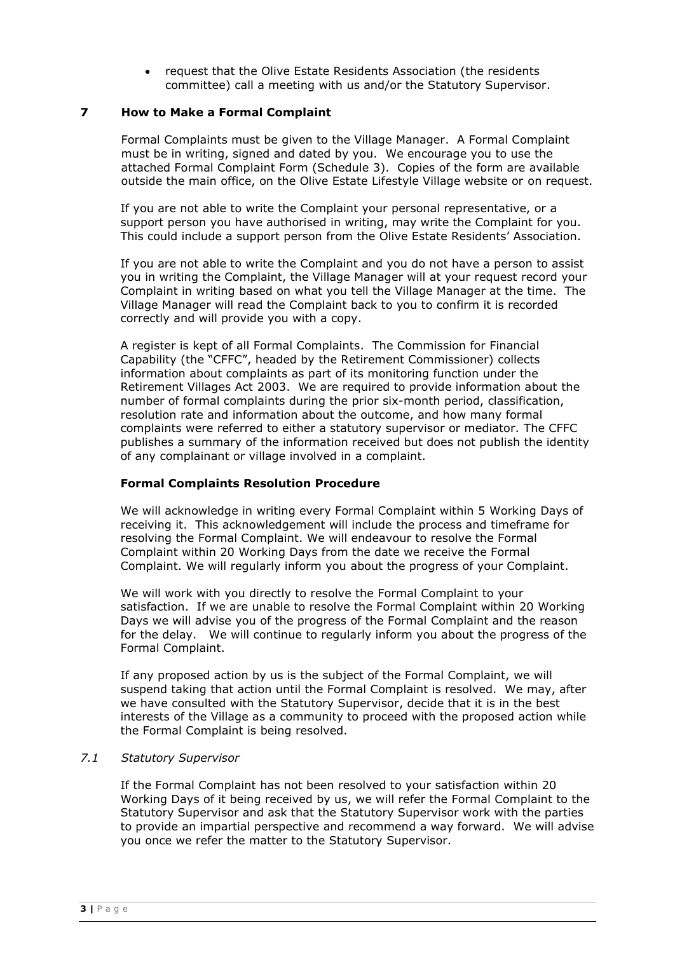• request that the Olive Estate Residents Association (the residents committee) call a meeting with us and/or the Statutory Supervisor.

### **7 How to Make a Formal Complaint**

Formal Complaints must be given to the Village Manager. A Formal Complaint must be in writing, signed and dated by you. We encourage you to use the attached Formal Complaint Form (Schedule 3). Copies of the form are available outside the main office, on the Olive Estate Lifestyle Village website or on request.

If you are not able to write the Complaint your personal representative, or a support person you have authorised in writing, may write the Complaint for you. This could include a support person from the Olive Estate Residents' Association.

If you are not able to write the Complaint and you do not have a person to assist you in writing the Complaint, the Village Manager will at your request record your Complaint in writing based on what you tell the Village Manager at the time. The Village Manager will read the Complaint back to you to confirm it is recorded correctly and will provide you with a copy.

A register is kept of all Formal Complaints. The Commission for Financial Capability (the "CFFC", headed by the Retirement Commissioner) collects information about complaints as part of its monitoring function under the Retirement Villages Act 2003. We are required to provide information about the number of formal complaints during the prior six-month period, classification, resolution rate and information about the outcome, and how many formal complaints were referred to either a statutory supervisor or mediator. The CFFC publishes a summary of the information received but does not publish the identity of any complainant or village involved in a complaint.

## **Formal Complaints Resolution Procedure**

We will acknowledge in writing every Formal Complaint within 5 Working Days of receiving it. This acknowledgement will include the process and timeframe for resolving the Formal Complaint. We will endeavour to resolve the Formal Complaint within 20 Working Days from the date we receive the Formal Complaint. We will regularly inform you about the progress of your Complaint.

We will work with you directly to resolve the Formal Complaint to your satisfaction. If we are unable to resolve the Formal Complaint within 20 Working Days we will advise you of the progress of the Formal Complaint and the reason for the delay. We will continue to regularly inform you about the progress of the Formal Complaint.

If any proposed action by us is the subject of the Formal Complaint, we will suspend taking that action until the Formal Complaint is resolved. We may, after we have consulted with the Statutory Supervisor, decide that it is in the best interests of the Village as a community to proceed with the proposed action while the Formal Complaint is being resolved.

### *7.1 Statutory Supervisor*

If the Formal Complaint has not been resolved to your satisfaction within 20 Working Days of it being received by us, we will refer the Formal Complaint to the Statutory Supervisor and ask that the Statutory Supervisor work with the parties to provide an impartial perspective and recommend a way forward. We will advise you once we refer the matter to the Statutory Supervisor.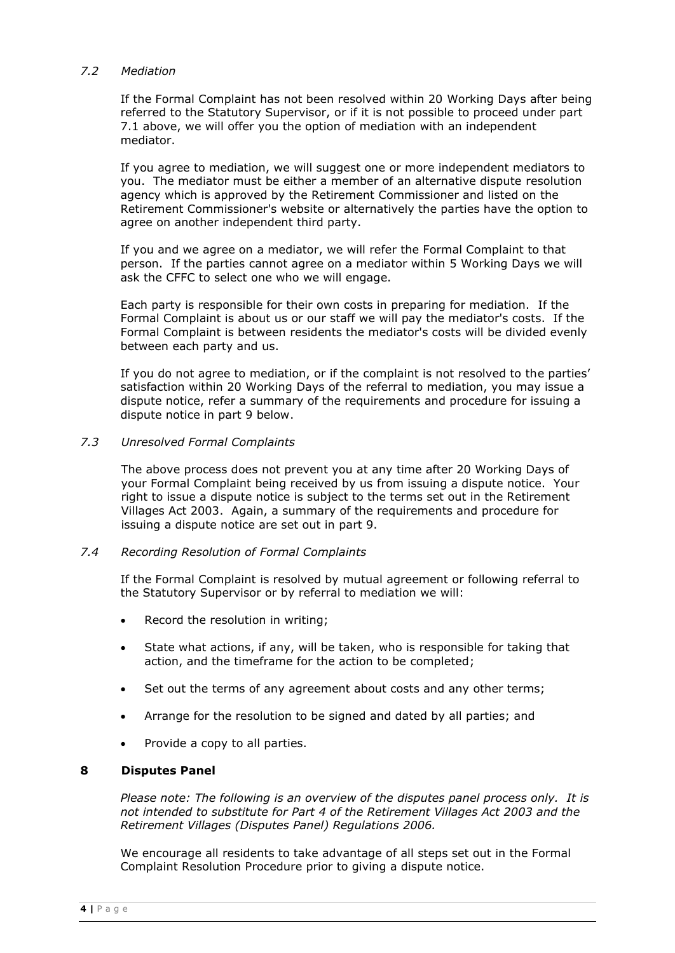## *7.2 Mediation*

If the Formal Complaint has not been resolved within 20 Working Days after being referred to the Statutory Supervisor, or if it is not possible to proceed under part 7.1 above, we will offer you the option of mediation with an independent mediator.

If you agree to mediation, we will suggest one or more independent mediators to you. The mediator must be either a member of an alternative dispute resolution agency which is approved by the Retirement Commissioner and listed on the Retirement Commissioner's website or alternatively the parties have the option to agree on another independent third party.

If you and we agree on a mediator, we will refer the Formal Complaint to that person. If the parties cannot agree on a mediator within 5 Working Days we will ask the CFFC to select one who we will engage.

Each party is responsible for their own costs in preparing for mediation. If the Formal Complaint is about us or our staff we will pay the mediator's costs. If the Formal Complaint is between residents the mediator's costs will be divided evenly between each party and us.

If you do not agree to mediation, or if the complaint is not resolved to the parties' satisfaction within 20 Working Days of the referral to mediation, you may issue a dispute notice, refer a summary of the requirements and procedure for issuing a dispute notice in part 9 below.

### *7.3 Unresolved Formal Complaints*

The above process does not prevent you at any time after 20 Working Days of your Formal Complaint being received by us from issuing a dispute notice. Your right to issue a dispute notice is subject to the terms set out in the Retirement Villages Act 2003. Again, a summary of the requirements and procedure for issuing a dispute notice are set out in part 9.

### *7.4 Recording Resolution of Formal Complaints*

If the Formal Complaint is resolved by mutual agreement or following referral to the Statutory Supervisor or by referral to mediation we will:

- Record the resolution in writing;
- State what actions, if any, will be taken, who is responsible for taking that action, and the timeframe for the action to be completed;
- Set out the terms of any agreement about costs and any other terms;
- Arrange for the resolution to be signed and dated by all parties; and
- Provide a copy to all parties.

### **8 Disputes Panel**

*Please note: The following is an overview of the disputes panel process only. It is not intended to substitute for Part 4 of the Retirement Villages Act 2003 and the Retirement Villages (Disputes Panel) Regulations 2006.*

We encourage all residents to take advantage of all steps set out in the Formal Complaint Resolution Procedure prior to giving a dispute notice.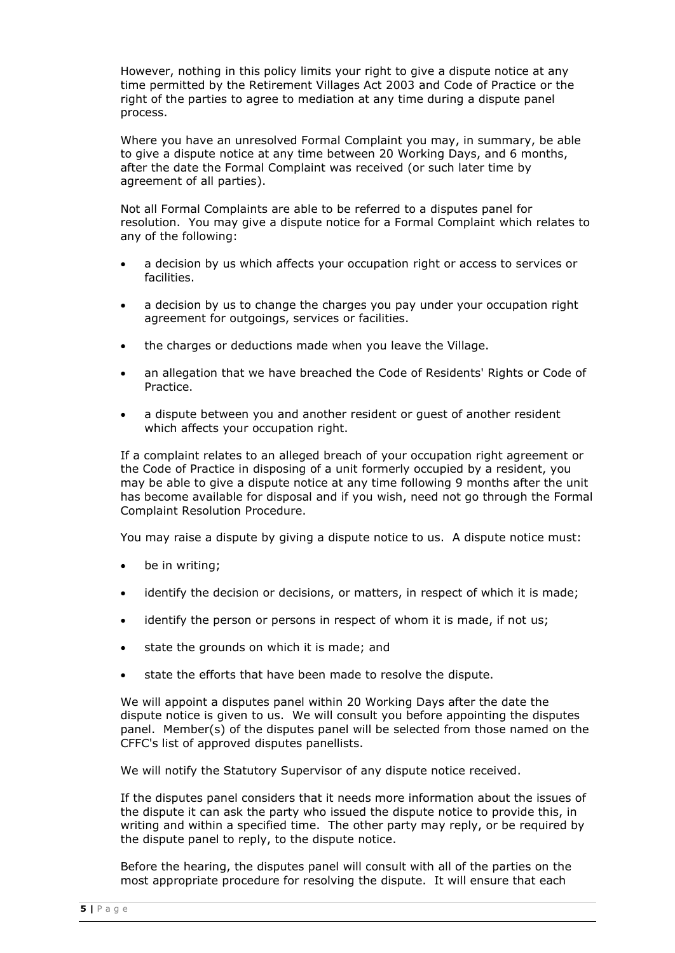However, nothing in this policy limits your right to give a dispute notice at any time permitted by the Retirement Villages Act 2003 and Code of Practice or the right of the parties to agree to mediation at any time during a dispute panel process.

Where you have an unresolved Formal Complaint you may, in summary, be able to give a dispute notice at any time between 20 Working Days, and 6 months, after the date the Formal Complaint was received (or such later time by agreement of all parties).

Not all Formal Complaints are able to be referred to a disputes panel for resolution. You may give a dispute notice for a Formal Complaint which relates to any of the following:

- a decision by us which affects your occupation right or access to services or facilities.
- a decision by us to change the charges you pay under your occupation right agreement for outgoings, services or facilities.
- the charges or deductions made when you leave the Village.
- an allegation that we have breached the Code of Residents' Rights or Code of Practice.
- a dispute between you and another resident or guest of another resident which affects your occupation right.

If a complaint relates to an alleged breach of your occupation right agreement or the Code of Practice in disposing of a unit formerly occupied by a resident, you may be able to give a dispute notice at any time following 9 months after the unit has become available for disposal and if you wish, need not go through the Formal Complaint Resolution Procedure.

You may raise a dispute by giving a dispute notice to us. A dispute notice must:

- be in writing;
- identify the decision or decisions, or matters, in respect of which it is made;
- identify the person or persons in respect of whom it is made, if not us;
- state the grounds on which it is made; and
- state the efforts that have been made to resolve the dispute.

We will appoint a disputes panel within 20 Working Days after the date the dispute notice is given to us. We will consult you before appointing the disputes panel. Member(s) of the disputes panel will be selected from those named on the CFFC's list of approved disputes panellists.

We will notify the Statutory Supervisor of any dispute notice received.

If the disputes panel considers that it needs more information about the issues of the dispute it can ask the party who issued the dispute notice to provide this, in writing and within a specified time. The other party may reply, or be required by the dispute panel to reply, to the dispute notice.

Before the hearing, the disputes panel will consult with all of the parties on the most appropriate procedure for resolving the dispute. It will ensure that each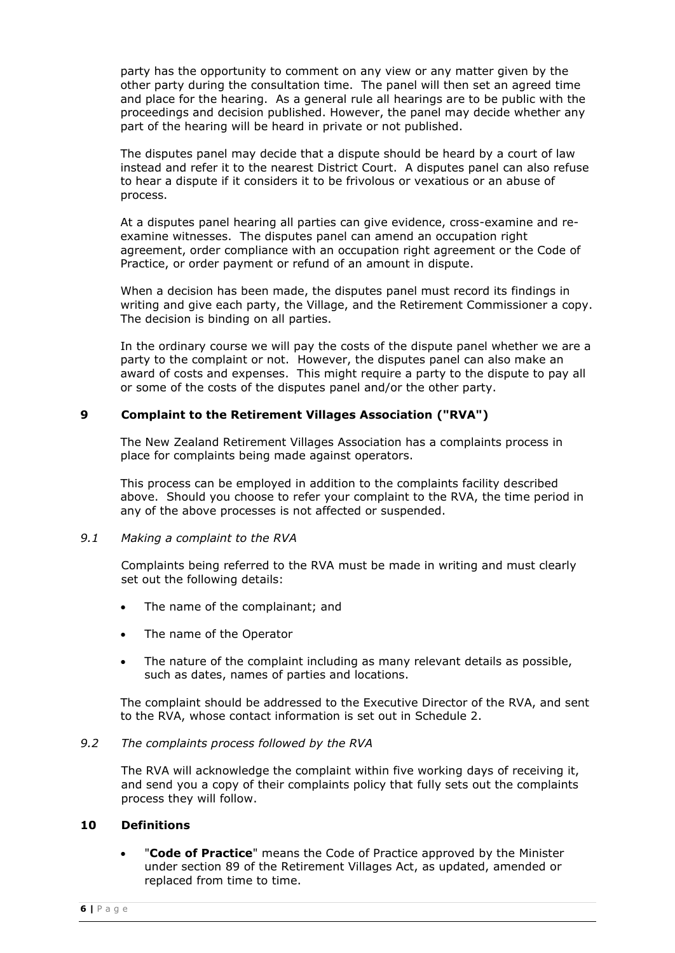party has the opportunity to comment on any view or any matter given by the other party during the consultation time. The panel will then set an agreed time and place for the hearing. As a general rule all hearings are to be public with the proceedings and decision published. However, the panel may decide whether any part of the hearing will be heard in private or not published.

The disputes panel may decide that a dispute should be heard by a court of law instead and refer it to the nearest District Court. A disputes panel can also refuse to hear a dispute if it considers it to be frivolous or vexatious or an abuse of process.

At a disputes panel hearing all parties can give evidence, cross-examine and reexamine witnesses. The disputes panel can amend an occupation right agreement, order compliance with an occupation right agreement or the Code of Practice, or order payment or refund of an amount in dispute.

When a decision has been made, the disputes panel must record its findings in writing and give each party, the Village, and the Retirement Commissioner a copy. The decision is binding on all parties.

In the ordinary course we will pay the costs of the dispute panel whether we are a party to the complaint or not. However, the disputes panel can also make an award of costs and expenses. This might require a party to the dispute to pay all or some of the costs of the disputes panel and/or the other party.

### **9 Complaint to the Retirement Villages Association ("RVA")**

The New Zealand Retirement Villages Association has a complaints process in place for complaints being made against operators.

This process can be employed in addition to the complaints facility described above. Should you choose to refer your complaint to the RVA, the time period in any of the above processes is not affected or suspended.

### *9.1 Making a complaint to the RVA*

Complaints being referred to the RVA must be made in writing and must clearly set out the following details:

- The name of the complainant; and
- The name of the Operator
- The nature of the complaint including as many relevant details as possible, such as dates, names of parties and locations.

The complaint should be addressed to the Executive Director of the RVA, and sent to the RVA, whose contact information is set out in Schedule 2.

### *9.2 The complaints process followed by the RVA*

The RVA will acknowledge the complaint within five working days of receiving it, and send you a copy of their complaints policy that fully sets out the complaints process they will follow.

### **10 Definitions**

• "**Code of Practice**" means the Code of Practice approved by the Minister under section 89 of the Retirement Villages Act, as updated, amended or replaced from time to time.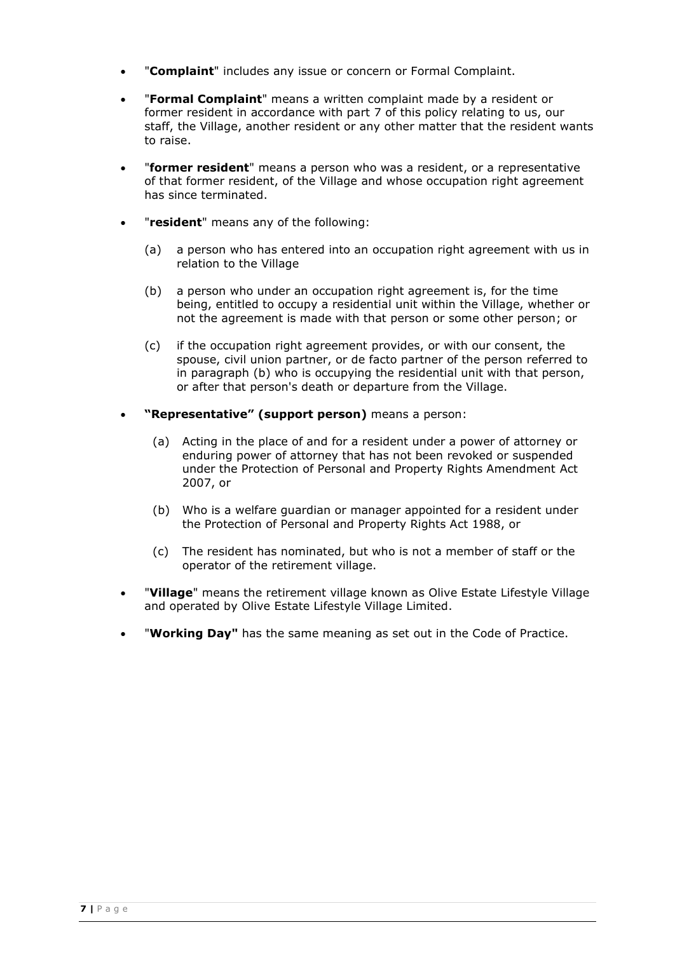- "**Complaint**" includes any issue or concern or Formal Complaint.
- "**Formal Complaint**" means a written complaint made by a resident or former resident in accordance with part 7 of this policy relating to us, our staff, the Village, another resident or any other matter that the resident wants to raise.
- "**former resident**" means a person who was a resident, or a representative of that former resident, of the Village and whose occupation right agreement has since terminated.
- "**resident**" means any of the following:
	- (a) a person who has entered into an occupation right agreement with us in relation to the Village
	- (b) a person who under an occupation right agreement is, for the time being, entitled to occupy a residential unit within the Village, whether or not the agreement is made with that person or some other person; or
	- (c) if the occupation right agreement provides, or with our consent, the spouse, civil union partner, or de facto partner of the person referred to in paragraph (b) who is occupying the residential unit with that person, or after that person's death or departure from the Village.
- **"Representative" (support person)** means a person:
	- (a) Acting in the place of and for a resident under a power of attorney or enduring power of attorney that has not been revoked or suspended under the Protection of Personal and Property Rights Amendment Act 2007, or
	- (b) Who is a welfare guardian or manager appointed for a resident under the Protection of Personal and Property Rights Act 1988, or
	- (c) The resident has nominated, but who is not a member of staff or the operator of the retirement village.
- "**Village**" means the retirement village known as Olive Estate Lifestyle Village and operated by Olive Estate Lifestyle Village Limited.
- "**Working Day"** has the same meaning as set out in the Code of Practice.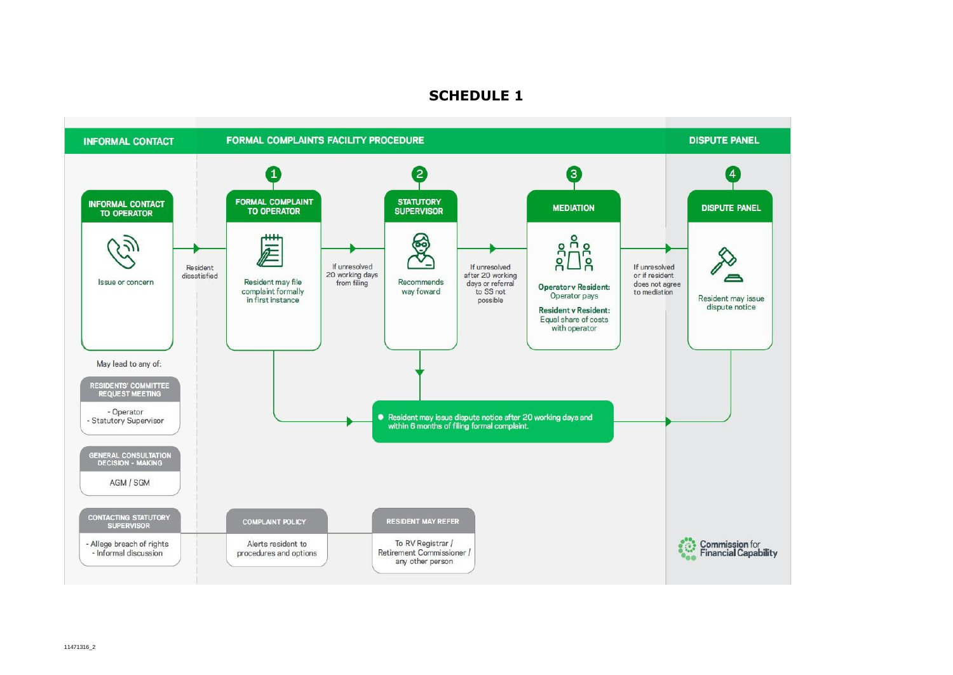## **SCHEDULE 1**

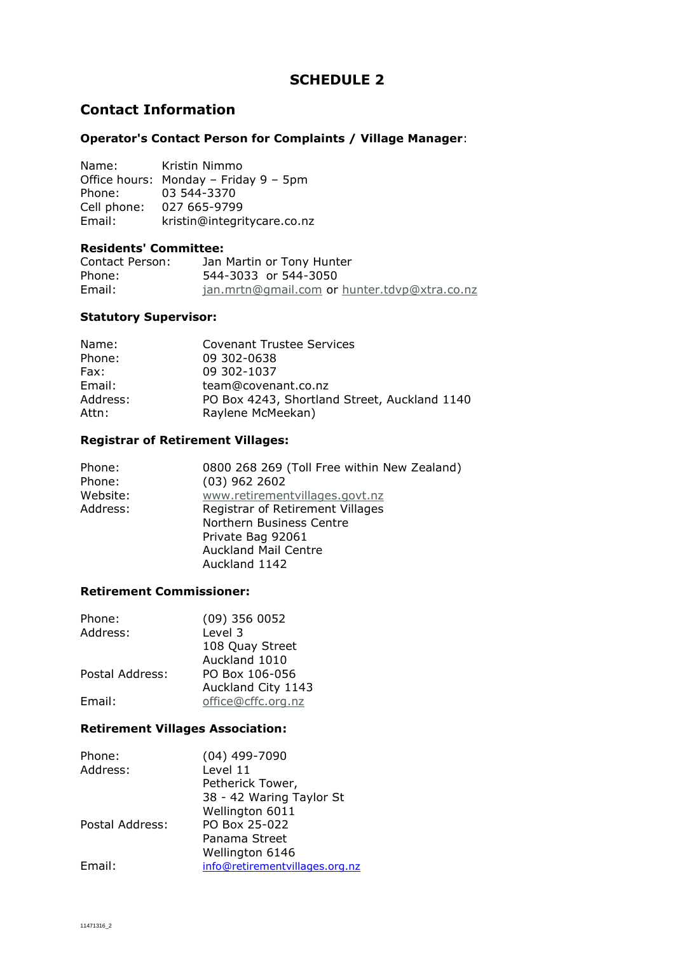## **SCHEDULE 2**

## **Contact Information**

### **Operator's Contact Person for Complaints / Village Manager**:

Name: Kristin Nimmo Office hours: Monday – Friday 9 – 5pm Phone: 03 544-3370 Cell phone: 027 665-9799 Email: kristin@integritycare.co.nz

### **Residents' Committee:**

| Contact Person: | Jan Martin or Tony Hunter                    |
|-----------------|----------------------------------------------|
| Phone:          | 544-3033 or 544-3050                         |
| Email:          | jan.mrtn@gmail.com or hunter.tdvp@xtra.co.nz |

## **Statutory Supervisor:**

| Name:    | <b>Covenant Trustee Services</b>             |
|----------|----------------------------------------------|
| Phone:   | 09 302-0638                                  |
| Fax:     | 09 302-1037                                  |
| Email:   | team@covenant.co.nz                          |
| Address: | PO Box 4243, Shortland Street, Auckland 1140 |
| Attn:    | Raylene McMeekan)                            |

## **Registrar of Retirement Villages:**

| Phone:<br>Phone:<br>Website:<br>Address: | 0800 268 269 (Toll Free within New Zealand)<br>$(03)$ 962 2602<br>www.retirementvillages.govt.nz<br>Registrar of Retirement Villages<br>Northern Business Centre<br>Private Bag 92061<br><b>Auckland Mail Centre</b><br>Auckland 1142 |
|------------------------------------------|---------------------------------------------------------------------------------------------------------------------------------------------------------------------------------------------------------------------------------------|
|                                          |                                                                                                                                                                                                                                       |

### **Retirement Commissioner:**

| Phone:          | $(09)$ 356 0052    |
|-----------------|--------------------|
| Address:        | Level 3            |
|                 | 108 Quay Street    |
|                 | Auckland 1010      |
| Postal Address: | PO Box 106-056     |
|                 | Auckland City 1143 |
| Email:          | office@cffc.org.nz |

## **Retirement Villages Association:**

| Phone:          | $(04)$ 499-7090                |
|-----------------|--------------------------------|
| Address:        | Level 11                       |
|                 | Petherick Tower,               |
|                 | 38 - 42 Waring Taylor St       |
|                 | Wellington 6011                |
| Postal Address: | PO Box 25-022                  |
|                 | Panama Street                  |
|                 | Wellington 6146                |
| Email:          | info@retirementvillages.org.nz |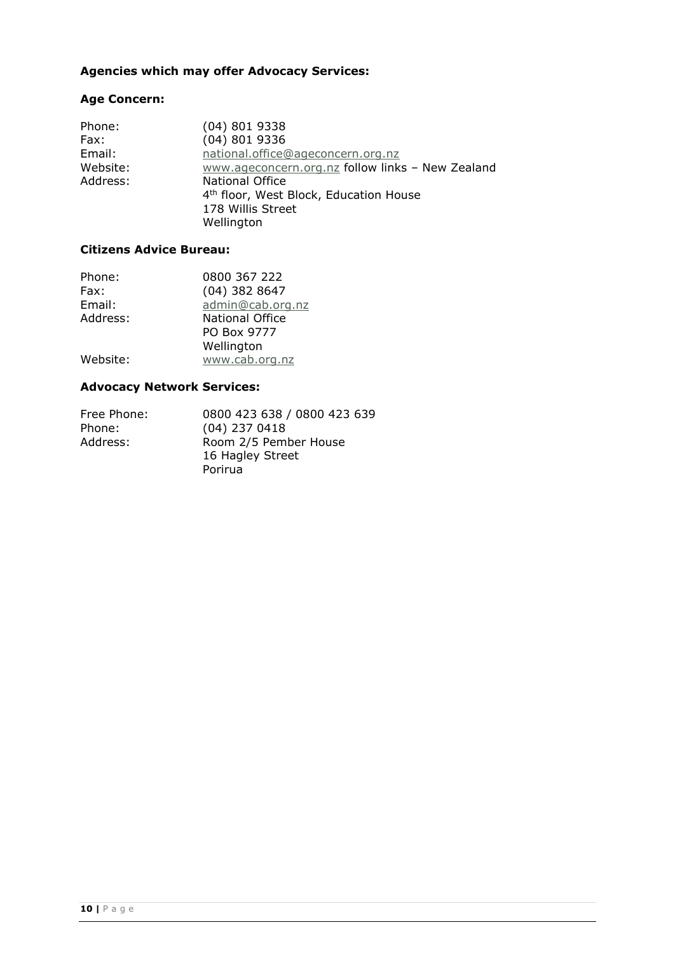## **Agencies which may offer Advocacy Services:**

# **Age Concern:**

| Phone:   | $(04)$ 801 9338                                    |
|----------|----------------------------------------------------|
| Fax:     | $(04)$ 801 9336                                    |
| Email:   | national.office@ageconcern.org.nz                  |
| Website: | www.ageconcern.org.nz follow links - New Zealand   |
| Address: | <b>National Office</b>                             |
|          | 4 <sup>th</sup> floor, West Block, Education House |
|          | 178 Willis Street                                  |
|          | Wellington                                         |
|          |                                                    |

## **Citizens Advice Bureau:**

| Phone:   | 0800 367 222           |
|----------|------------------------|
| Fax:     | $(04)$ 382 8647        |
| Email:   | admin@cab.org.nz       |
| Address: | <b>National Office</b> |
|          | PO Box 9777            |
|          | Wellington             |
| Website: | www.cab.org.nz         |

## **Advocacy Network Services:**

| Free Phone: | 0800 423 638 / 0800 423 639 |
|-------------|-----------------------------|
| Phone:      | $(04)$ 237 0418             |
| Address:    | Room 2/5 Pember House       |
|             | 16 Hagley Street            |
|             | Porirua                     |